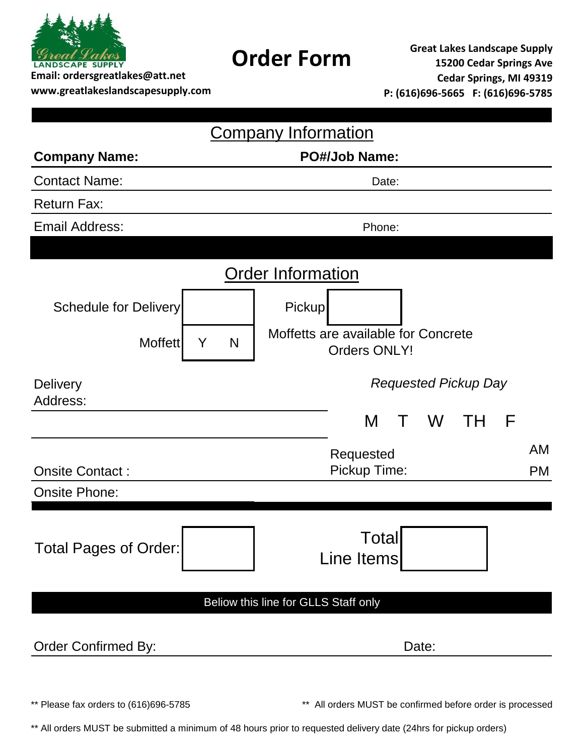

**www.greatlakeslandscapesupply.com**

**Order Form Great Lakes Landscape Supply 15200 Cedar Springs Ave Cedar Springs, MI 49319 P: (616)696-5665 F: (616)696-5785**

|                                       | <b>Company Information</b>                                           |
|---------------------------------------|----------------------------------------------------------------------|
| <b>Company Name:</b>                  | <b>PO#/Job Name:</b>                                                 |
| <b>Contact Name:</b>                  | Date:                                                                |
| <b>Return Fax:</b>                    |                                                                      |
| <b>Email Address:</b>                 | Phone:                                                               |
|                                       |                                                                      |
|                                       | <b>Order Information</b>                                             |
| <b>Schedule for Delivery</b>          | <b>Pickup</b>                                                        |
| <b>Moffett</b>                        | Moffetts are available for Concrete<br>Y<br>N<br><b>Orders ONLY!</b> |
| <b>Delivery</b><br>Address:           | <b>Requested Pickup Day</b>                                          |
|                                       | M<br>F<br>W<br>TH                                                    |
| <b>Onsite Contact:</b>                | <b>AM</b><br>Requested<br>Pickup Time:<br><b>PM</b>                  |
| <b>Onsite Phone:</b>                  |                                                                      |
| <b>Total Pages of Order:</b>          | Total<br>Line Items                                                  |
|                                       | Beliow this line for GLLS Staff only                                 |
| <b>Order Confirmed By:</b>            | Date:                                                                |
| ** Please fax orders to (616)696-5785 | ** All orders MUST be confirmed before order is processed            |

\*\* All orders MUST be submitted a minimum of 48 hours prior to requested delivery date (24hrs for pickup orders)